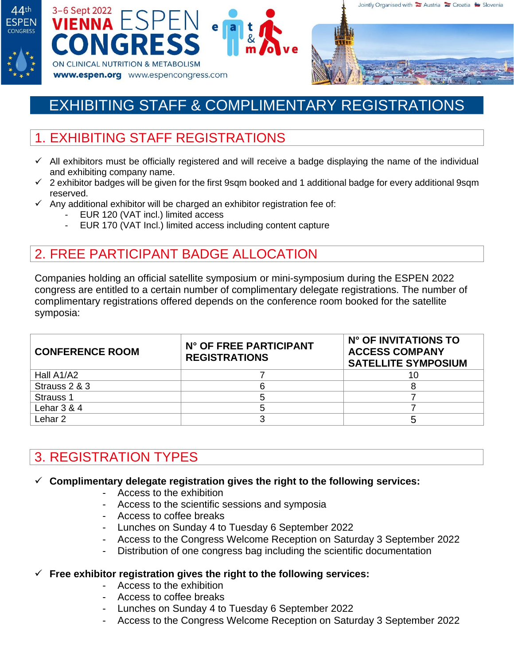





# EXHIBITING STAFF & COMPLIMENTARY REGISTRATIONS

# 1. EXHIBITING STAFF REGISTRATIONS

- ✓ All exhibitors must be officially registered and will receive a badge displaying the name of the individual and exhibiting company name.
- ✓ 2 exhibitor badges will be given for the first 9sqm booked and 1 additional badge for every additional 9sqm reserved.
- $\checkmark$  Any additional exhibitor will be charged an exhibitor registration fee of:
	- EUR 120 (VAT incl.) limited access
	- EUR 170 (VAT Incl.) limited access including content capture

### 2. FREE PARTICIPANT BADGE ALLOCATION

Companies holding an official satellite symposium or mini-symposium during the ESPEN 2022 congress are entitled to a certain number of complimentary delegate registrations. The number of complimentary registrations offered depends on the conference room booked for the satellite symposia:

| <b>CONFERENCE ROOM</b> | N° OF FREE PARTICIPANT<br><b>REGISTRATIONS</b> | N° OF INVITATIONS TO<br><b>ACCESS COMPANY</b><br><b>SATELLITE SYMPOSIUM</b> |
|------------------------|------------------------------------------------|-----------------------------------------------------------------------------|
| Hall A1/A2             |                                                |                                                                             |
| Strauss 2 & 3          |                                                |                                                                             |
| Strauss 1              |                                                |                                                                             |
| Lehar $3 & 4$          |                                                |                                                                             |
| Lehar 2.               |                                                |                                                                             |

## 3. REGISTRATION TYPES

#### ✓ **Complimentary delegate registration gives the right to the following services:**

- Access to the exhibition
- Access to the scientific sessions and symposia
- Access to coffee breaks
- Lunches on Sunday 4 to Tuesday 6 September 2022
- Access to the Congress Welcome Reception on Saturday 3 September 2022
- Distribution of one congress bag including the scientific documentation

#### ✓ **Free exhibitor registration gives the right to the following services:**

- Access to the exhibition
- Access to coffee breaks
- Lunches on Sunday 4 to Tuesday 6 September 2022
- Access to the Congress Welcome Reception on Saturday 3 September 2022